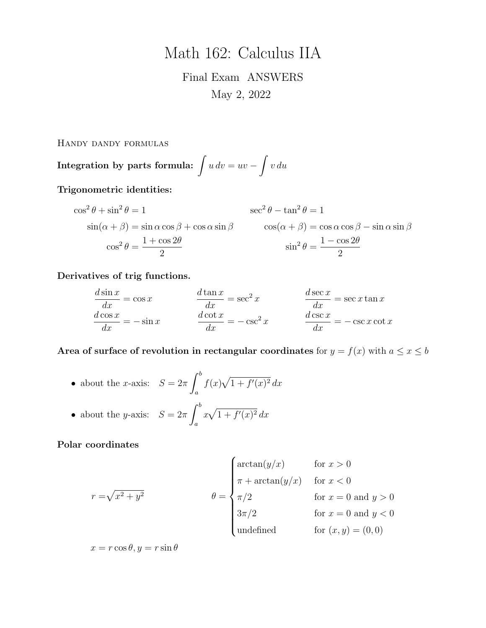# Math 162: Calculus IIA

Final Exam ANSWERS May 2, 2022

Handy dandy formulas

Integration by parts formula:  $\int u\,dv=uv-\int v\,du$ 

Trigonometric identities:

$$
\cos^{2} \theta + \sin^{2} \theta = 1
$$
  
\n
$$
\sin(\alpha + \beta) = \sin \alpha \cos \beta + \cos \alpha \sin \beta
$$
  
\n
$$
\cos^{2} \theta = \frac{1 + \cos 2\theta}{2}
$$
  
\n
$$
\sin^{2} \theta = \frac{1 - \cos 2\theta}{2}
$$
  
\n
$$
\sin^{2} \theta = \frac{1 - \cos 2\theta}{2}
$$

Derivatives of trig functions.

$$
\frac{d \sin x}{dx} = \cos x \qquad \qquad \frac{d \tan x}{dx} = \sec^2 x \qquad \qquad \frac{d \sec x}{dx} = \sec x \tan x
$$

$$
\frac{d \cos x}{dx} = -\sin x \qquad \qquad \frac{d \cot x}{dx} = -\csc^2 x \qquad \qquad \frac{d \csc x}{dx} = -\csc x \cot x
$$

Area of surface of revolution in rectangular coordinates for  $y = f(x)$  with  $a \le x \le b$ 

\n- about the *x*-axis: 
$$
S = 2\pi \int_{a}^{b} f(x) \sqrt{1 + f'(x)^2} \, dx
$$
\n- about the *y*-axis:  $S = 2\pi \int_{a}^{b} x \sqrt{1 + f'(x)^2} \, dx$
\n

Polar coordinates

$$
r = \sqrt{x^2 + y^2}
$$
\n
$$
\theta = \begin{cases}\n\arctan(y/x) & \text{for } x > 0 \\
\pi + \arctan(y/x) & \text{for } x < 0 \\
\pi/2 & \text{for } x = 0 \text{ and } y > 0 \\
3\pi/2 & \text{for } x = 0 \text{ and } y < 0 \\
\text{undefined} & \text{for } (x, y) = (0, 0)\n\end{cases}
$$

 $x = r \cos \theta, y = r \sin \theta$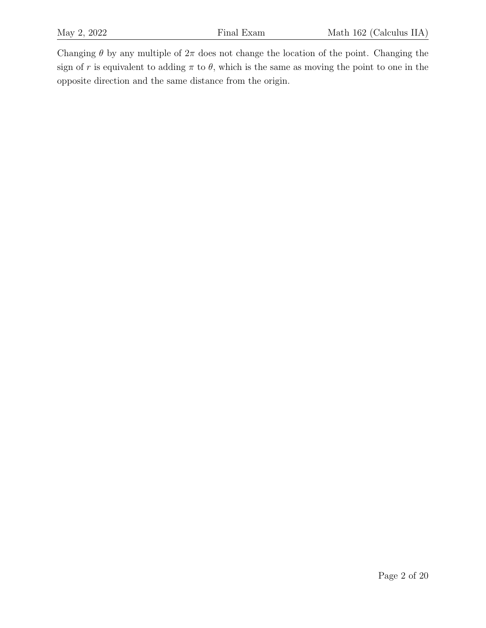Changing  $\theta$  by any multiple of  $2\pi$  does not change the location of the point. Changing the sign of r is equivalent to adding  $\pi$  to  $\theta$ , which is the same as moving the point to one in the opposite direction and the same distance from the origin.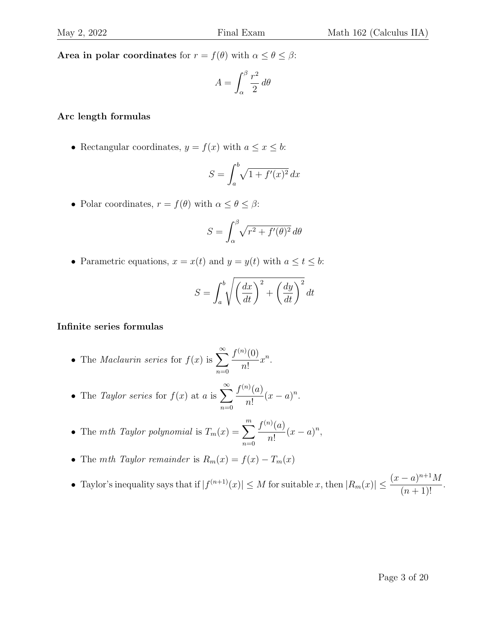Area in polar coordinates for  $r = f(\theta)$  with  $\alpha \le \theta \le \beta$ :

$$
A = \int_{\alpha}^{\beta} \frac{r^2}{2} \, d\theta
$$

#### Arc length formulas

• Rectangular coordinates,  $y = f(x)$  with  $a \le x \le b$ :

$$
S = \int_a^b \sqrt{1 + f'(x)^2} \, dx
$$

• Polar coordinates,  $r = f(\theta)$  with  $\alpha \leq \theta \leq \beta$ :

$$
S = \int_{\alpha}^{\beta} \sqrt{r^2 + f'(\theta)^2} \, d\theta
$$

• Parametric equations,  $x = x(t)$  and  $y = y(t)$  with  $a \le t \le b$ :

$$
S = \int_{a}^{b} \sqrt{\left(\frac{dx}{dt}\right)^{2} + \left(\frac{dy}{dt}\right)^{2}} dt
$$

#### Infinite series formulas

- The *Maclaurin series* for  $f(x)$  is  $\sum_{n=0}^{\infty}$  $n=0$  $f^{(n)}(0)$ n!  $x^n$ .
- The *Taylor series* for  $f(x)$  at a is  $\sum_{n=0}^{\infty}$  $n=0$  $f^{(n)}(a)$ n!  $(x-a)^n$ .
- The mth Taylor polynomial is  $T_m(x) = \sum_{m=1}^{m}$  $n=0$  $f^{(n)}(a)$ n!  $(x-a)^n$ ,
- The mth Taylor remainder is  $R_m(x) = f(x) T_m(x)$
- Taylor's inequality says that if  $|f^{(n+1)}(x)| \leq M$  for suitable x, then  $|R_m(x)| \leq \frac{(x-a)^{n+1}M}{(x-a)^{n+1}}$  $\frac{a}{(n+1)!}$ .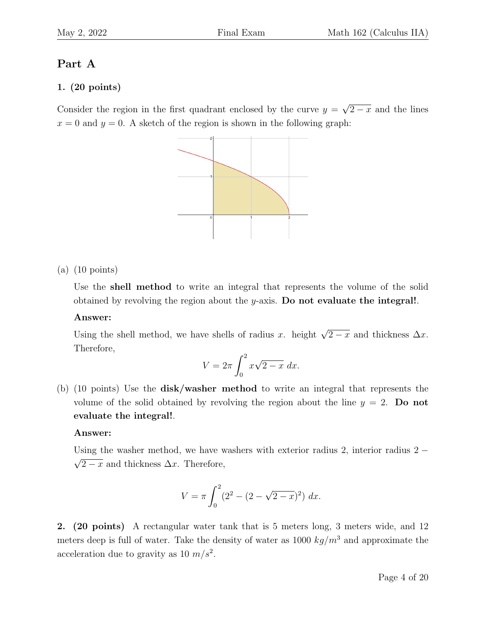## Part A

## 1. (20 points)

Consider the region in the first quadrant enclosed by the curve  $y =$ √  $\sqrt{2-x}$  and the lines  $x = 0$  and  $y = 0$ . A sketch of the region is shown in the following graph:



(a) (10 points)

Use the shell method to write an integral that represents the volume of the solid obtained by revolving the region about the  $y$ -axis. Do not evaluate the integral!.

#### Answer:

Using the shell method, we have shells of radius x. height  $\sqrt{2-x}$  and thickness  $\Delta x$ . Therefore,

$$
V = 2\pi \int_0^2 x\sqrt{2-x} \ dx.
$$

(b) (10 points) Use the disk/washer method to write an integral that represents the volume of the solid obtained by revolving the region about the line  $y = 2$ . Do not evaluate the integral!.

#### Answer:

Using the washer method, we have washers with exterior radius 2, interior radius 2 −  $\sqrt{2-x}$  and thickness  $\Delta x$ . Therefore,

$$
V = \pi \int_0^2 (2^2 - (2 - \sqrt{2 - x})^2) dx.
$$

2. (20 points) A rectangular water tank that is 5 meters long, 3 meters wide, and 12 meters deep is full of water. Take the density of water as 1000  $kg/m<sup>3</sup>$  and approximate the acceleration due to gravity as 10  $m/s^2$ .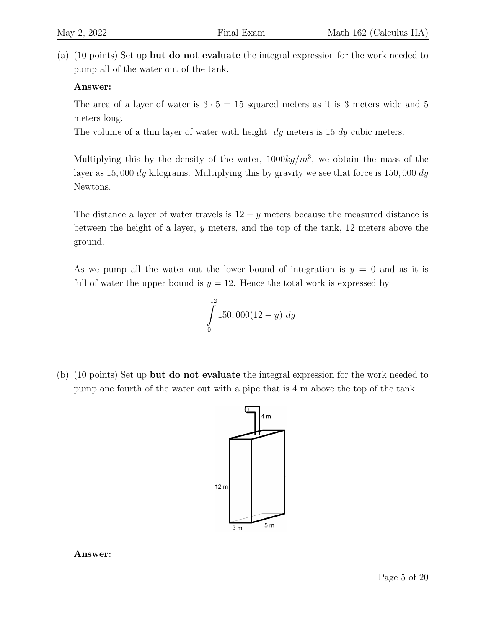(a) (10 points) Set up but do not evaluate the integral expression for the work needed to pump all of the water out of the tank.

### Answer:

The area of a layer of water is  $3 \cdot 5 = 15$  squared meters as it is 3 meters wide and 5 meters long.

The volume of a thin layer of water with height  $dy$  meters is 15  $dy$  cubic meters.

Multiplying this by the density of the water,  $1000kg/m<sup>3</sup>$ , we obtain the mass of the layer as 15, 000 dy kilograms. Multiplying this by gravity we see that force is 150, 000 dy Newtons.

The distance a layer of water travels is  $12 - y$  meters because the measured distance is between the height of a layer, y meters, and the top of the tank, 12 meters above the ground.

As we pump all the water out the lower bound of integration is  $y = 0$  and as it is full of water the upper bound is  $y = 12$ . Hence the total work is expressed by

$$
\int_{0}^{12} 150,000(12-y) \ dy
$$

(b) (10 points) Set up but do not evaluate the integral expression for the work needed to pump one fourth of the water out with a pipe that is 4 m above the top of the tank.



Answer: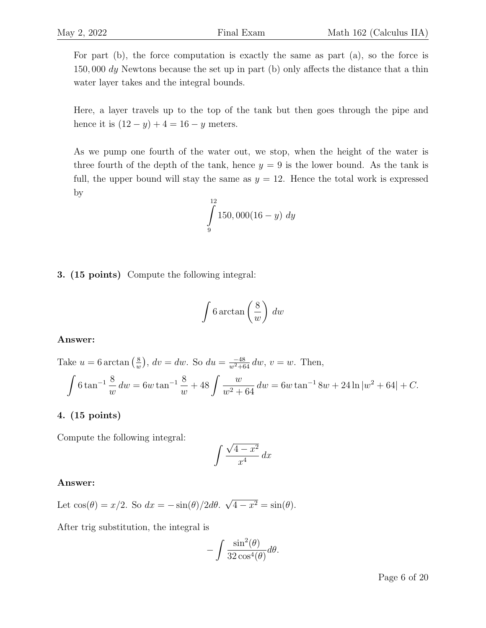For part (b), the force computation is exactly the same as part (a), so the force is 150,000 dy Newtons because the set up in part (b) only affects the distance that a thin water layer takes and the integral bounds.

Here, a layer travels up to the top of the tank but then goes through the pipe and hence it is  $(12 - y) + 4 = 16 - y$  meters.

As we pump one fourth of the water out, we stop, when the height of the water is three fourth of the depth of the tank, hence  $y = 9$  is the lower bound. As the tank is full, the upper bound will stay the same as  $y = 12$ . Hence the total work is expressed by

$$
\int_{9}^{12} 150,000(16-y) \ dy
$$

3. (15 points) Compute the following integral:

$$
\int 6 \arctan\left(\frac{8}{w}\right) dw
$$

#### Answer:

Take 
$$
u = 6 \arctan(\frac{8}{w})
$$
,  $dv = dw$ . So  $du = \frac{-48}{w^2 + 64} dw$ ,  $v = w$ . Then,  
\n
$$
\int 6 \tan^{-1} \frac{8}{w} dw = 6w \tan^{-1} \frac{8}{w} + 48 \int \frac{w}{w^2 + 64} dw = 6w \tan^{-1} 8w + 24 \ln|w^2 + 64| + C.
$$

#### 4. (15 points)

Compute the following integral:

$$
\int \frac{\sqrt{4-x^2}}{x^4} \, dx
$$

#### Answer:

Let  $\cos(\theta) = x/2$ . So  $dx = -\sin(\theta)/2d\theta$ . √  $4-x^2=\sin(\theta).$ 

After trig substitution, the integral is

$$
-\int \frac{\sin^2(\theta)}{32\cos^4(\theta)}d\theta.
$$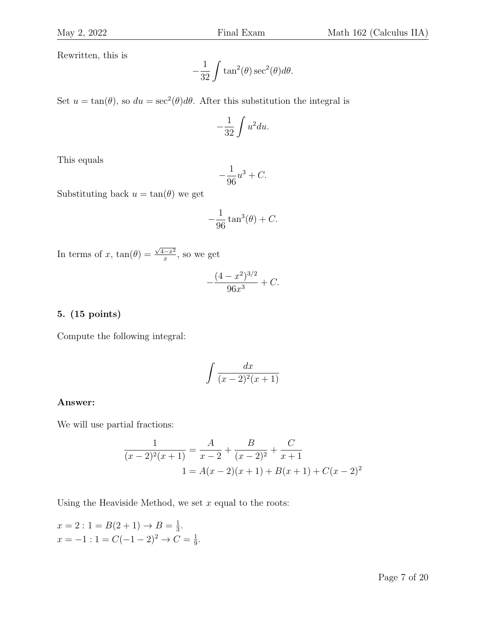Rewritten, this is

$$
-\frac{1}{32} \int \tan^2(\theta) \sec^2(\theta) d\theta.
$$

Set  $u = \tan(\theta)$ , so  $du = \sec^2(\theta) d\theta$ . After this substitution the integral is

$$
-\frac{1}{32}\int u^2 du.
$$

This equals

$$
-\frac{1}{96}u^3 + C.
$$

Substituting back  $u = \tan(\theta)$  we get

$$
-\frac{1}{96}\tan^3(\theta) + C.
$$

In terms of x,  $tan(\theta) =$  $\sqrt{4-x^2}$  $\frac{x-x^2}{x}$ , so we get

$$
-\frac{(4-x^2)^{3/2}}{96x^3} + C.
$$

#### 5. (15 points)

Compute the following integral:

$$
\int \frac{dx}{(x-2)^2(x+1)}
$$

#### Answer:

We will use partial fractions:

$$
\frac{1}{(x-2)^2(x+1)} = \frac{A}{x-2} + \frac{B}{(x-2)^2} + \frac{C}{x+1}
$$
  

$$
1 = A(x-2)(x+1) + B(x+1) + C(x-2)^2
$$

Using the Heaviside Method, we set  $x$  equal to the roots:

 $x = 2$ :  $1 = B(2 + 1) \rightarrow B = \frac{1}{3}$  $\frac{1}{3}$ .  $x = -1$ : 1 =  $C(-1-2)^2 \rightarrow C = \frac{1}{9}$  $\frac{1}{9}$ .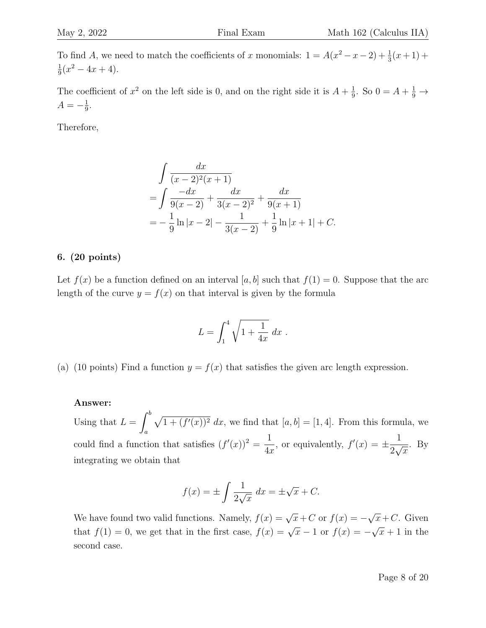To find A, we need to match the coefficients of x monomials:  $1 = A(x^2 - x - 2) + \frac{1}{3}(x+1) +$ 1  $\frac{1}{9}(x^2-4x+4).$ 

The coefficient of  $x^2$  on the left side is 0, and on the right side it is  $A + \frac{1}{9}$  $\frac{1}{9}$ . So  $0 = A + \frac{1}{9} \rightarrow$  $A=-\frac{1}{9}$  $\frac{1}{9}$ .

Therefore,

$$
\int \frac{dx}{(x-2)^2(x+1)}
$$
  
= 
$$
\int \frac{-dx}{9(x-2)} + \frac{dx}{3(x-2)^2} + \frac{dx}{9(x+1)}
$$
  
= 
$$
-\frac{1}{9}\ln|x-2| - \frac{1}{3(x-2)} + \frac{1}{9}\ln|x+1| + C.
$$

#### 6. (20 points)

Let  $f(x)$  be a function defined on an interval [a, b] such that  $f(1) = 0$ . Suppose that the arc length of the curve  $y = f(x)$  on that interval is given by the formula

$$
L = \int_1^4 \sqrt{1 + \frac{1}{4x}} \, dx \; .
$$

(a) (10 points) Find a function  $y = f(x)$  that satisfies the given arc length expression.

#### Answer:

Using that  $L = \int_0^b$ a  $\sqrt{1 + (f'(x))^2} dx$ , we find that  $[a, b] = [1, 4]$ . From this formula, we could find a function that satisfies  $(f'(x))^2 = \frac{1}{f(x)}$  $4x$ , or equivalently,  $f'(x) = \pm \frac{1}{2}$ 2  $\frac{1}{\sqrt{2}}$  $\overline{x}$ . By integrating we obtain that

$$
f(x) = \pm \int \frac{1}{2\sqrt{x}} dx = \pm \sqrt{x} + C.
$$

We have found two valid functions. Namely,  $f(x) = \sqrt{x} + C$  or  $f(x) = -$ √  $\overline{x}+C$ . Given that  $f(1) = 0$ , we get that in the first case,  $f(x) = \sqrt{x-1}$  or  $f(x) = -$ √  $\overline{x} + 1$  in the second case.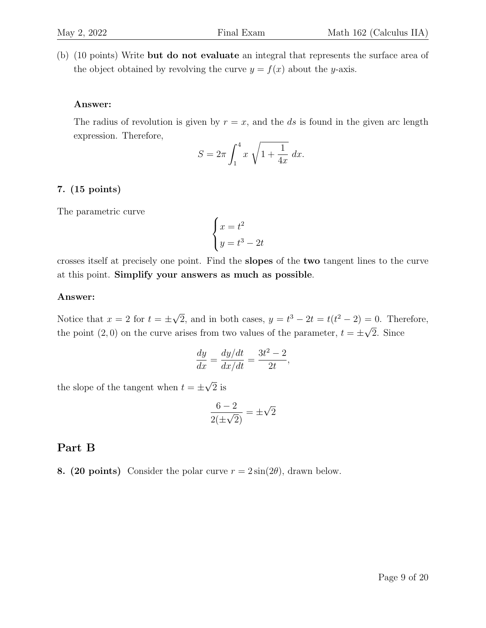(b) (10 points) Write but do not evaluate an integral that represents the surface area of the object obtained by revolving the curve  $y = f(x)$  about the y-axis.

#### Answer:

The radius of revolution is given by  $r = x$ , and the ds is found in the given arc length expression. Therefore,

$$
S = 2\pi \int_{1}^{4} x \sqrt{1 + \frac{1}{4x}} \, dx.
$$

#### 7. (15 points)

The parametric curve

$$
\begin{cases}\nx = t^2 \\
y = t^3 - 2t\n\end{cases}
$$

crosses itself at precisely one point. Find the slopes of the two tangent lines to the curve at this point. Simplify your answers as much as possible.

#### Answer:

Notice that  $x = 2$  for  $t = \pm$ √  $\overline{2}$ , and in both cases,  $y = t^3 - 2t = t(t^2 - 2) = 0$ . Therefore, the point (2,0) on the curve arises from two values of the parameter,  $t = \pm \sqrt{2}$ . Since

$$
\frac{dy}{dx} = \frac{dy/dt}{dx/dt} = \frac{3t^2 - 2}{2t},
$$

the slope of the tangent when  $t = \pm$ √ 2 is

$$
\frac{6-2}{2(\pm\sqrt{2})} = \pm\sqrt{2}
$$

#### Part B

8. (20 points) Consider the polar curve  $r = 2 \sin(2\theta)$ , drawn below.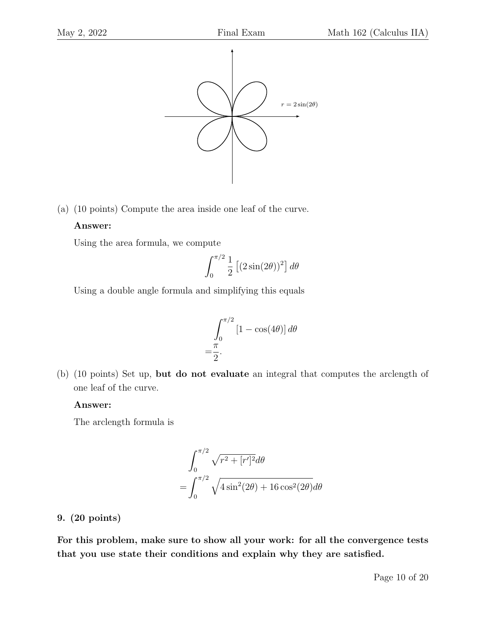

(a) (10 points) Compute the area inside one leaf of the curve.

#### Answer:

Using the area formula, we compute

$$
\int_0^{\pi/2} \frac{1}{2} \left[ (2\sin(2\theta))^2 \right] d\theta
$$

Using a double angle formula and simplifying this equals

$$
\int_0^{\pi/2} \left[1 - \cos(4\theta)\right] d\theta
$$
  
=  $\frac{\pi}{2}$ .

(b) (10 points) Set up, but do not evaluate an integral that computes the arclength of one leaf of the curve.

#### Answer:

The arclength formula is

$$
\int_0^{\pi/2} \sqrt{r^2 + [r']^2} d\theta
$$

$$
= \int_0^{\pi/2} \sqrt{4\sin^2(2\theta) + 16\cos^2(2\theta)} d\theta
$$

#### 9. (20 points)

For this problem, make sure to show all your work: for all the convergence tests that you use state their conditions and explain why they are satisfied.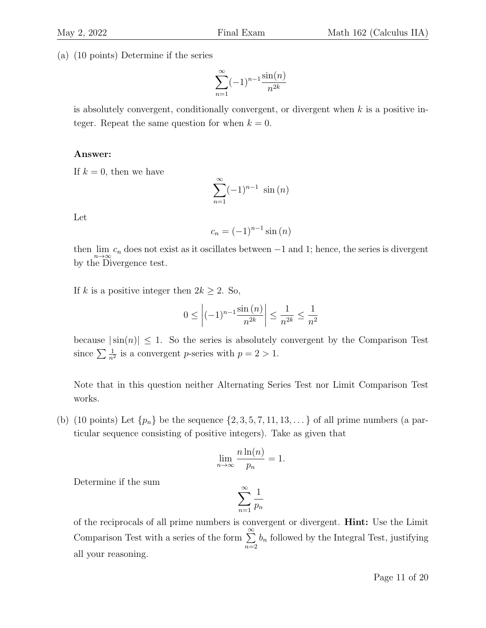(a) (10 points) Determine if the series

$$
\sum_{n=1}^{\infty} (-1)^{n-1} \frac{\sin(n)}{n^{2k}}
$$

is absolutely convergent, conditionally convergent, or divergent when  $k$  is a positive integer. Repeat the same question for when  $k = 0$ .

#### Answer:

If  $k = 0$ , then we have

$$
\sum_{n=1}^{\infty} (-1)^{n-1} \sin(n)
$$

Let

$$
c_n = (-1)^{n-1} \sin(n)
$$

then  $\lim_{n\to\infty} c_n$  does not exist as it oscillates between  $-1$  and 1; hence, the series is divergent by the Divergence test.

If k is a positive integer then  $2k \geq 2$ . So,

$$
0 \le \left| (-1)^{n-1} \frac{\sin (n)}{n^{2k}} \right| \le \frac{1}{n^{2k}} \le \frac{1}{n^2}
$$

because  $|\sin(n)| \leq 1$ . So the series is absolutely convergent by the Comparison Test since  $\sum \frac{1}{n^2}$  is a convergent *p*-series with  $p = 2 > 1$ .

Note that in this question neither Alternating Series Test nor Limit Comparison Test works.

(b) (10 points) Let  $\{p_n\}$  be the sequence  $\{2, 3, 5, 7, 11, 13, \ldots\}$  of all prime numbers (a particular sequence consisting of positive integers). Take as given that

$$
\lim_{n \to \infty} \frac{n \ln(n)}{p_n} = 1.
$$

Determine if the sum

$$
\sum_{n=1}^{\infty} \frac{1}{p_n}
$$

of the reciprocals of all prime numbers is convergent or divergent. Hint: Use the Limit Comparison Test with a series of the form  $\sum^{\infty}$  $n=2$  $b_n$  followed by the Integral Test, justifying all your reasoning.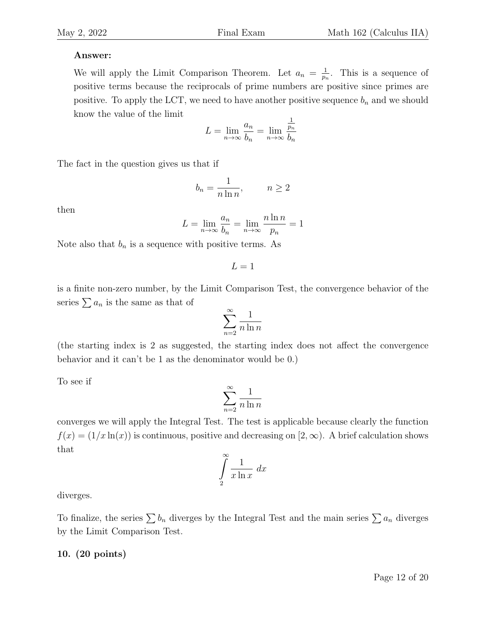### Answer:

We will apply the Limit Comparison Theorem. Let  $a_n = \frac{1}{n}$  $\frac{1}{p_n}$ . This is a sequence of positive terms because the reciprocals of prime numbers are positive since primes are positive. To apply the LCT, we need to have another positive sequence  $b_n$  and we should know the value of the limit

$$
L = \lim_{n \to \infty} \frac{a_n}{b_n} = \lim_{n \to \infty} \frac{\frac{1}{p_n}}{b_n}
$$

The fact in the question gives us that if

$$
b_n = \frac{1}{n \ln n}, \qquad n \ge 2
$$

then

$$
L = \lim_{n \to \infty} \frac{a_n}{b_n} = \lim_{n \to \infty} \frac{n \ln n}{p_n} = 1
$$

Note also that  $b_n$  is a sequence with positive terms. As

$$
L = 1
$$

is a finite non-zero number, by the Limit Comparison Test, the convergence behavior of the series  $\sum a_n$  is the same as that of

$$
\sum_{n=2}^{\infty} \frac{1}{n \ln n}
$$

(the starting index is 2 as suggested, the starting index does not affect the convergence behavior and it can't be 1 as the denominator would be 0.)

To see if

$$
\sum_{n=2}^{\infty} \frac{1}{n \ln n}
$$

converges we will apply the Integral Test. The test is applicable because clearly the function  $f(x) = (1/x \ln(x))$  is continuous, positive and decreasing on  $[2, \infty)$ . A brief calculation shows that

$$
\int_{2}^{\infty} \frac{1}{x \ln x} \, dx
$$

diverges.

To finalize, the series  $\sum b_n$  diverges by the Integral Test and the main series  $\sum a_n$  diverges by the Limit Comparison Test.

#### 10. (20 points)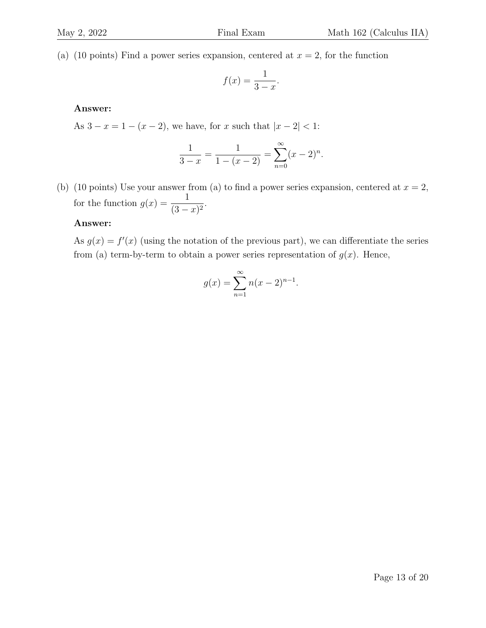(a) (10 points) Find a power series expansion, centered at  $x = 2$ , for the function

$$
f(x) = \frac{1}{3 - x}.
$$

#### Answer:

As  $3 - x = 1 - (x - 2)$ , we have, for x such that  $|x - 2| < 1$ :

$$
\frac{1}{3-x} = \frac{1}{1-(x-2)} = \sum_{n=0}^{\infty} (x-2)^n.
$$

(b) (10 points) Use your answer from (a) to find a power series expansion, centered at  $x = 2$ , for the function  $g(x) = \frac{1}{a}$  $\frac{1}{(3-x)^2}$ .

#### Answer:

As  $g(x) = f'(x)$  (using the notation of the previous part), we can differentiate the series from (a) term-by-term to obtain a power series representation of  $g(x)$ . Hence,

$$
g(x) = \sum_{n=1}^{\infty} n(x-2)^{n-1}.
$$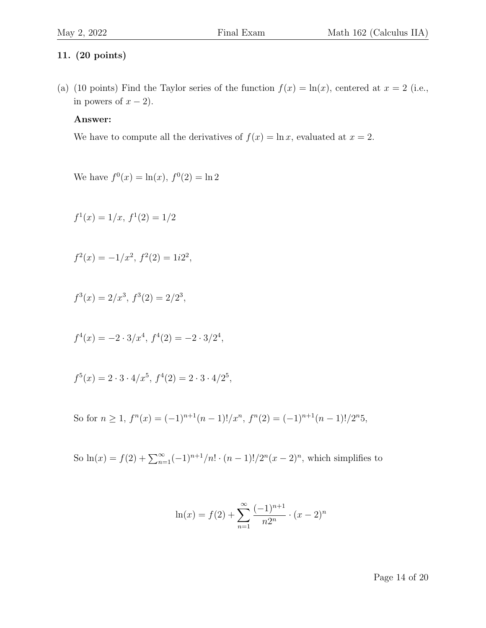#### 11. (20 points)

(a) (10 points) Find the Taylor series of the function  $f(x) = \ln(x)$ , centered at  $x = 2$  (i.e., in powers of  $x - 2$ ).

#### Answer:

We have to compute all the derivatives of  $f(x) = \ln x$ , evaluated at  $x = 2$ .

We have  $f^{0}(x) = \ln(x), f^{0}(2) = \ln 2$ 

$$
f^1(x) = 1/x, \, f^1(2) = 1/2
$$

$$
f^2(x) = -1/x^2, \ f^2(2) = 1i2^2,
$$

$$
f^3(x) = 2/x^3, \, f^3(2) = 2/2^3,
$$

$$
f^4(x) = -2 \cdot 3/x^4, \, f^4(2) = -2 \cdot 3/2^4,
$$

$$
f^5(x) = 2 \cdot 3 \cdot 4/x^5, \, f^4(2) = 2 \cdot 3 \cdot 4/2^5,
$$

So for 
$$
n \ge 1
$$
,  $f^{n}(x) = (-1)^{n+1}(n-1)!/x^{n}$ ,  $f^{n}(2) = (-1)^{n+1}(n-1)!/2^{n}5$ ,

So  $\ln(x) = f(2) + \sum_{n=1}^{\infty} (-1)^{n+1}/n! \cdot (n-1)!/2^n (x-2)^n$ , which simplifies to

$$
\ln(x) = f(2) + \sum_{n=1}^{\infty} \frac{(-1)^{n+1}}{n2^n} \cdot (x-2)^n
$$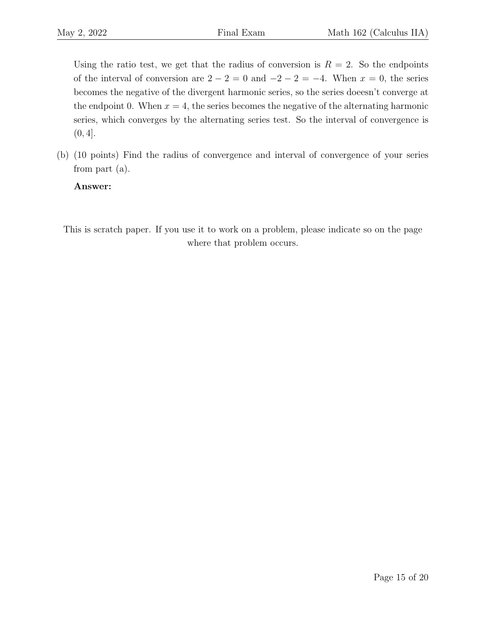Using the ratio test, we get that the radius of conversion is  $R = 2$ . So the endpoints of the interval of conversion are  $2 - 2 = 0$  and  $-2 - 2 = -4$ . When  $x = 0$ , the series becomes the negative of the divergent harmonic series, so the series doeesn't converge at the endpoint 0. When  $x = 4$ , the series becomes the negative of the alternating harmonic series, which converges by the alternating series test. So the interval of convergence is  $(0, 4]$ .

(b) (10 points) Find the radius of convergence and interval of convergence of your series from part (a).

Answer:

This is scratch paper. If you use it to work on a problem, please indicate so on the page where that problem occurs.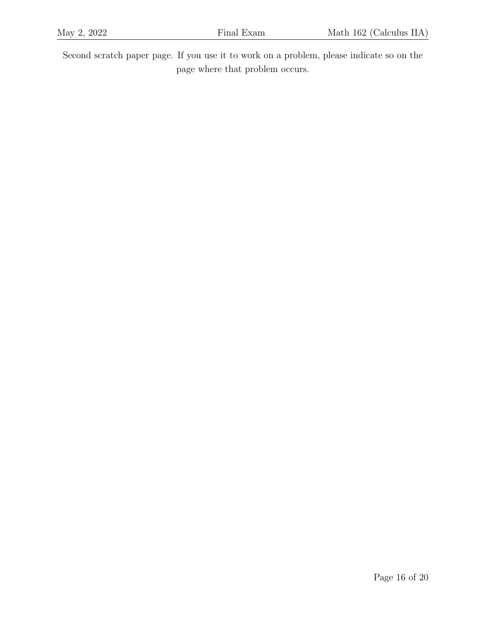Second scratch paper page. If you use it to work on a problem, please indicate so on the page where that problem occurs.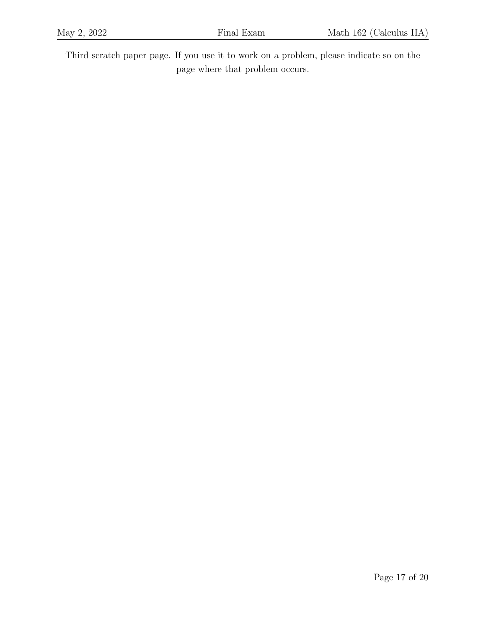Third scratch paper page. If you use it to work on a problem, please indicate so on the page where that problem occurs.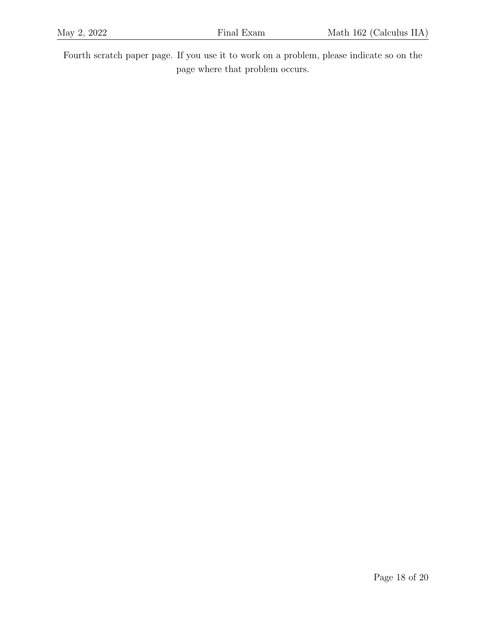Fourth scratch paper page. If you use it to work on a problem, please indicate so on the page where that problem occurs.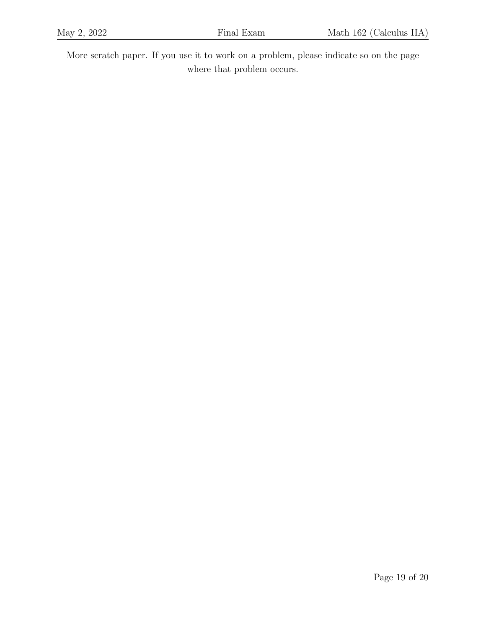More scratch paper. If you use it to work on a problem, please indicate so on the page where that problem occurs.